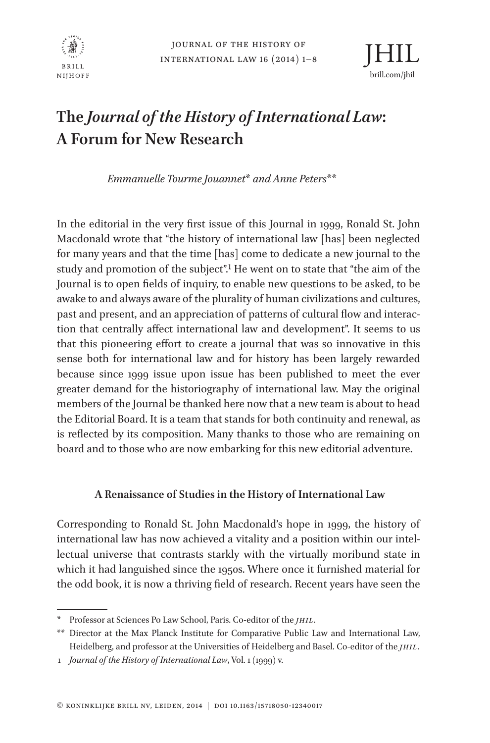



# **The** *Journal of the History of International Law***: A Forum for New Research**

*Emmanuelle Tourme Jouannet*\* *and Anne Peters*\*\*

In the editorial in the very first issue of this Journal in 1999, Ronald St. John Macdonald wrote that "the history of international law [has] been neglected for many years and that the time [has] come to dedicate a new journal to the study and promotion of the subject".<sup>1</sup> He went on to state that "the aim of the Journal is to open fields of inquiry, to enable new questions to be asked, to be awake to and always aware of the plurality of human civilizations and cultures, past and present, and an appreciation of patterns of cultural flow and interaction that centrally affect international law and development". It seems to us that this pioneering effort to create a journal that was so innovative in this sense both for international law and for history has been largely rewarded because since 1999 issue upon issue has been published to meet the ever greater demand for the historiography of international law. May the original members of the Journal be thanked here now that a new team is about to head the Editorial Board. It is a team that stands for both continuity and renewal, as is reflected by its composition. Many thanks to those who are remaining on board and to those who are now embarking for this new editorial adventure.

# **A Renaissance of Studies in the History of International Law**

Corresponding to Ronald St. John Macdonald's hope in 1999, the history of international law has now achieved a vitality and a position within our intellectual universe that contrasts starkly with the virtually moribund state in which it had languished since the 1950s. Where once it furnished material for the odd book, it is now a thriving field of research. Recent years have seen the

<sup>\*</sup> Professor at Sciences Po Law School, Paris. Co-editor of the *JHIL*.

<sup>\*\*</sup> Director at the Max Planck Institute for Comparative Public Law and International Law, Heidelberg, and professor at the Universities of Heidelberg and Basel. Co-editor of the *JHIL*.

<sup>1</sup> *Journal of the History of International Law*, Vol. 1 (1999) v.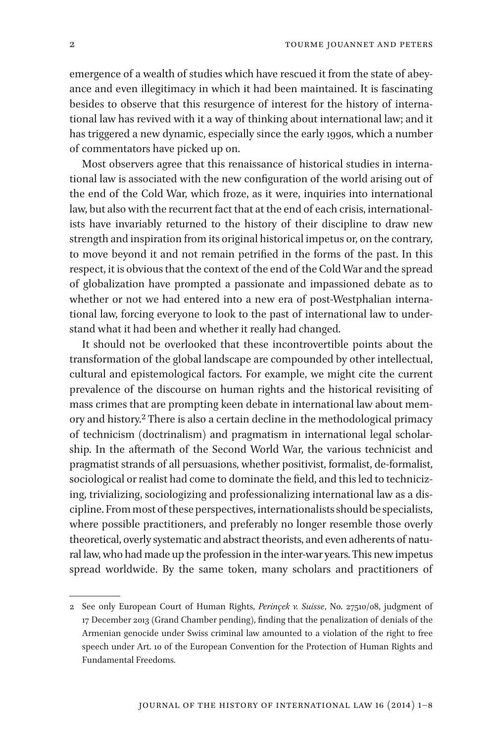emergence of a wealth of studies which have rescued it from the state of abeyance and even illegitimacy in which it had been maintained. It is fascinating besides to observe that this resurgence of interest for the history of international law has revived with it a way of thinking about international law; and it has triggered a new dynamic, especially since the early 1990s, which a number of commentators have picked up on.

Most observers agree that this renaissance of historical studies in international law is associated with the new configuration of the world arising out of the end of the Cold War, which froze, as it were, inquiries into international law, but also with the recurrent fact that at the end of each crisis, internationalists have invariably returned to the history of their discipline to draw new strength and inspiration from its original historical impetus or, on the contrary, to move beyond it and not remain petrified in the forms of the past. In this respect, it is obvious that the context of the end of the Cold War and the spread of globalization have prompted a passionate and impassioned debate as to whether or not we had entered into a new era of post-Westphalian international law, forcing everyone to look to the past of international law to understand what it had been and whether it really had changed.

It should not be overlooked that these incontrovertible points about the transformation of the global landscape are compounded by other intellectual, cultural and epistemological factors. For example, we might cite the current prevalence of the discourse on human rights and the historical revisiting of mass crimes that are prompting keen debate in international law about memory and history.2 There is also a certain decline in the methodological primacy of technicism (doctrinalism) and pragmatism in international legal scholarship. In the aftermath of the Second World War, the various technicist and pragmatist strands of all persuasions, whether positivist, formalist, de-formalist, sociological or realist had come to dominate the field, and this led to technicizing, trivializing, sociologizing and professionalizing international law as a discipline. From most of these perspectives, internationalists should be specialists, where possible practitioners, and preferably no longer resemble those overly theoretical, overly systematic and abstract theorists, and even adherents of natural law, who had made up the profession in the inter-war years. This new impetus spread worldwide. By the same token, many scholars and practitioners of

<sup>2</sup> See only European Court of Human Rights, *Perinçek v. Suisse*, No. 27510/08, judgment of 17 December 2013 (Grand Chamber pending), finding that the penalization of denials of the Armenian genocide under Swiss criminal law amounted to a violation of the right to free speech under Art. 10 of the European Convention for the Protection of Human Rights and Fundamental Freedoms.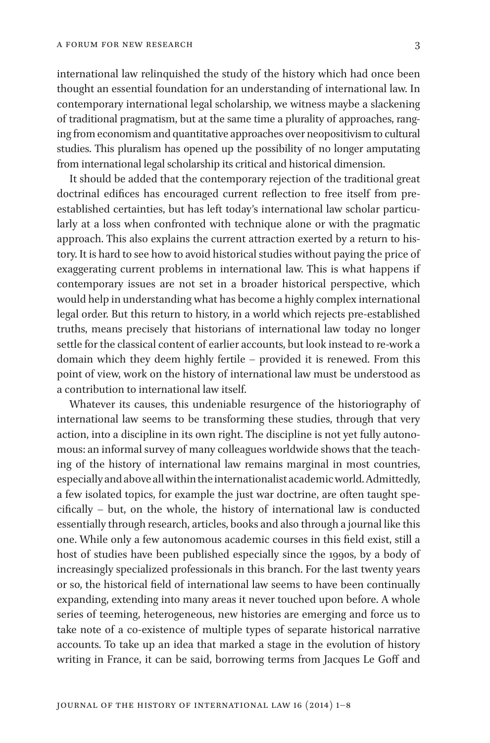international law relinquished the study of the history which had once been thought an essential foundation for an understanding of international law. In contemporary international legal scholarship, we witness maybe a slackening of traditional pragmatism, but at the same time a plurality of approaches, ranging from economism and quantitative approaches over neopositivism to cultural studies. This pluralism has opened up the possibility of no longer amputating from international legal scholarship its critical and historical dimension.

It should be added that the contemporary rejection of the traditional great doctrinal edifices has encouraged current reflection to free itself from preestablished certainties, but has left today's international law scholar particularly at a loss when confronted with technique alone or with the pragmatic approach. This also explains the current attraction exerted by a return to history. It is hard to see how to avoid historical studies without paying the price of exaggerating current problems in international law. This is what happens if contemporary issues are not set in a broader historical perspective, which would help in understanding what has become a highly complex international legal order. But this return to history, in a world which rejects pre-established truths, means precisely that historians of international law today no longer settle for the classical content of earlier accounts, but look instead to re-work a domain which they deem highly fertile – provided it is renewed. From this point of view, work on the history of international law must be understood as a contribution to international law itself.

Whatever its causes, this undeniable resurgence of the historiography of international law seems to be transforming these studies, through that very action, into a discipline in its own right. The discipline is not yet fully autonomous: an informal survey of many colleagues worldwide shows that the teaching of the history of international law remains marginal in most countries, especially and above all within the internationalist academic world. Admittedly, a few isolated topics, for example the just war doctrine, are often taught specifically – but, on the whole, the history of international law is conducted essentially through research, articles, books and also through a journal like this one. While only a few autonomous academic courses in this field exist, still a host of studies have been published especially since the 1990s, by a body of increasingly specialized professionals in this branch. For the last twenty years or so, the historical field of international law seems to have been continually expanding, extending into many areas it never touched upon before. A whole series of teeming, heterogeneous, new histories are emerging and force us to take note of a co-existence of multiple types of separate historical narrative accounts. To take up an idea that marked a stage in the evolution of history writing in France, it can be said, borrowing terms from Jacques Le Goff and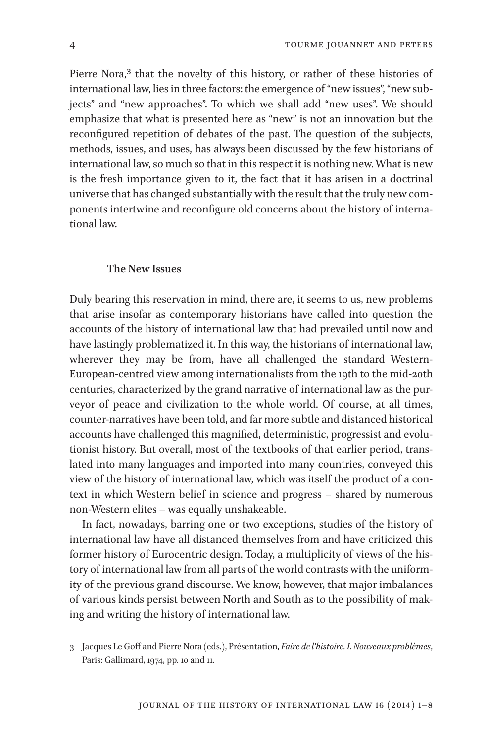Pierre Nora,<sup>3</sup> that the novelty of this history, or rather of these histories of international law, lies in three factors: the emergence of "new issues", "new subjects" and "new approaches". To which we shall add "new uses". We should emphasize that what is presented here as "new" is not an innovation but the reconfigured repetition of debates of the past. The question of the subjects, methods, issues, and uses, has always been discussed by the few historians of international law, so much so that in this respect it is nothing new. What is new is the fresh importance given to it, the fact that it has arisen in a doctrinal universe that has changed substantially with the result that the truly new components intertwine and reconfigure old concerns about the history of international law.

# **The New Issues**

Duly bearing this reservation in mind, there are, it seems to us, new problems that arise insofar as contemporary historians have called into question the accounts of the history of international law that had prevailed until now and have lastingly problematized it. In this way, the historians of international law, wherever they may be from, have all challenged the standard Western-European-centred view among internationalists from the 19th to the mid-20th centuries, characterized by the grand narrative of international law as the purveyor of peace and civilization to the whole world. Of course, at all times, counter-narratives have been told, and far more subtle and distanced historical accounts have challenged this magnified, deterministic, progressist and evolutionist history. But overall, most of the textbooks of that earlier period, translated into many languages and imported into many countries, conveyed this view of the history of international law, which was itself the product of a context in which Western belief in science and progress – shared by numerous non-Western elites – was equally unshakeable.

In fact, nowadays, barring one or two exceptions, studies of the history of international law have all distanced themselves from and have criticized this former history of Eurocentric design. Today, a multiplicity of views of the history of international law from all parts of the world contrasts with the uniformity of the previous grand discourse. We know, however, that major imbalances of various kinds persist between North and South as to the possibility of making and writing the history of international law.

<sup>3</sup> Jacques Le Goff and Pierre Nora (eds.), Présentation, *Faire de l'histoire. I. Nouveaux problèmes*, Paris: Gallimard, 1974, pp. 10 and 11.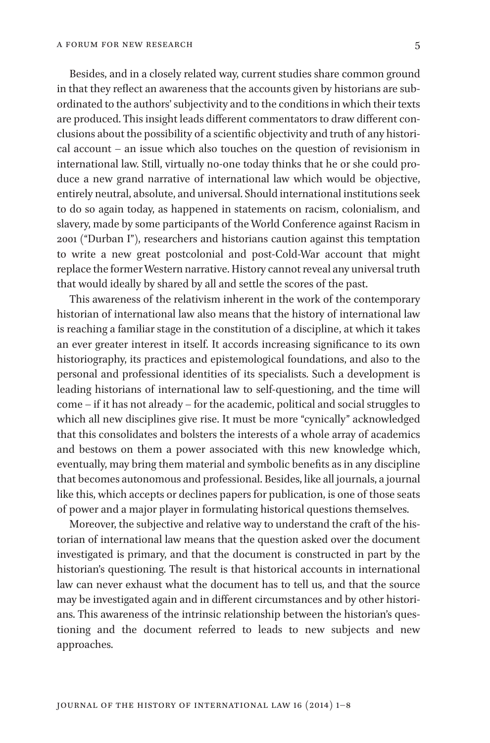Besides, and in a closely related way, current studies share common ground in that they reflect an awareness that the accounts given by historians are subordinated to the authors' subjectivity and to the conditions in which their texts are produced. This insight leads different commentators to draw different conclusions about the possibility of a scientific objectivity and truth of any historical account – an issue which also touches on the question of revisionism in international law. Still, virtually no-one today thinks that he or she could produce a new grand narrative of international law which would be objective, entirely neutral, absolute, and universal. Should international institutions seek to do so again today, as happened in statements on racism, colonialism, and slavery, made by some participants of the World Conference against Racism in 2001 ("Durban I"), researchers and historians caution against this temptation to write a new great postcolonial and post-Cold-War account that might replace the former Western narrative. History cannot reveal any universal truth that would ideally by shared by all and settle the scores of the past.

This awareness of the relativism inherent in the work of the contemporary historian of international law also means that the history of international law is reaching a familiar stage in the constitution of a discipline, at which it takes an ever greater interest in itself. It accords increasing significance to its own historiography, its practices and epistemological foundations, and also to the personal and professional identities of its specialists. Such a development is leading historians of international law to self-questioning, and the time will come – if it has not already – for the academic, political and social struggles to which all new disciplines give rise. It must be more "cynically" acknowledged that this consolidates and bolsters the interests of a whole array of academics and bestows on them a power associated with this new knowledge which, eventually, may bring them material and symbolic benefits as in any discipline that becomes autonomous and professional. Besides, like all journals, a journal like this, which accepts or declines papers for publication, is one of those seats of power and a major player in formulating historical questions themselves.

Moreover, the subjective and relative way to understand the craft of the historian of international law means that the question asked over the document investigated is primary, and that the document is constructed in part by the historian's questioning. The result is that historical accounts in international law can never exhaust what the document has to tell us, and that the source may be investigated again and in different circumstances and by other historians. This awareness of the intrinsic relationship between the historian's questioning and the document referred to leads to new subjects and new approaches.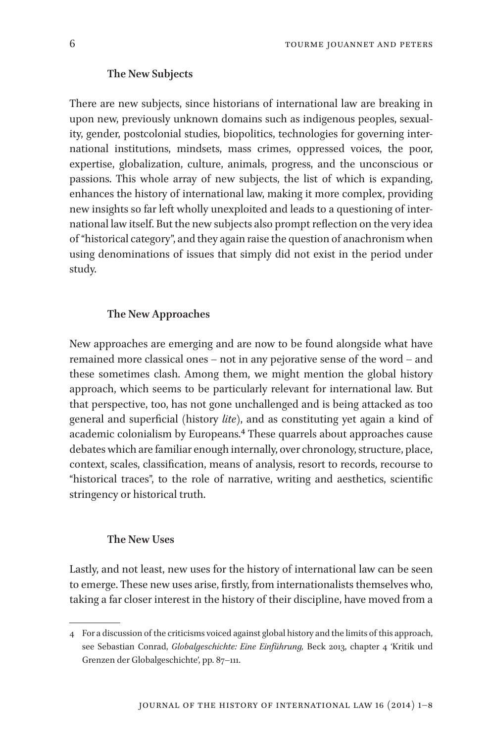#### **The New Subjects**

There are new subjects, since historians of international law are breaking in upon new, previously unknown domains such as indigenous peoples, sexuality, gender, postcolonial studies, biopolitics, technologies for governing international institutions, mindsets, mass crimes, oppressed voices, the poor, expertise, globalization, culture, animals, progress, and the unconscious or passions. This whole array of new subjects, the list of which is expanding, enhances the history of international law, making it more complex, providing new insights so far left wholly unexploited and leads to a questioning of international law itself. But the new subjects also prompt reflection on the very idea of "historical category", and they again raise the question of anachronism when using denominations of issues that simply did not exist in the period under study.

# **The New Approaches**

New approaches are emerging and are now to be found alongside what have remained more classical ones – not in any pejorative sense of the word – and these sometimes clash. Among them, we might mention the global history approach, which seems to be particularly relevant for international law. But that perspective, too, has not gone unchallenged and is being attacked as too general and superficial (history *lite*), and as constituting yet again a kind of academic colonialism by Europeans.4 These quarrels about approaches cause debates which are familiar enough internally, over chronology, structure, place, context, scales, classification, means of analysis, resort to records, recourse to "historical traces", to the role of narrative, writing and aesthetics, scientific stringency or historical truth.

# **The New Uses**

Lastly, and not least, new uses for the history of international law can be seen to emerge. These new uses arise, firstly, from internationalists themselves who, taking a far closer interest in the history of their discipline, have moved from a

<sup>4</sup> For a discussion of the criticisms voiced against global history and the limits of this approach, see Sebastian Conrad, *Globalgeschichte: Eine Einführung,* Beck 2013, chapter 4 'Kritik und Grenzen der Globalgeschichte', pp. 87–111.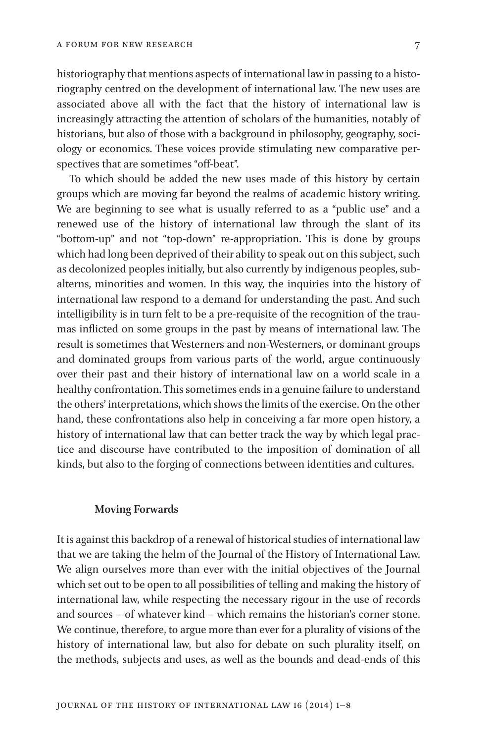historiography that mentions aspects of international law in passing to a historiography centred on the development of international law. The new uses are associated above all with the fact that the history of international law is increasingly attracting the attention of scholars of the humanities, notably of historians, but also of those with a background in philosophy, geography, sociology or economics. These voices provide stimulating new comparative perspectives that are sometimes "off-beat".

To which should be added the new uses made of this history by certain groups which are moving far beyond the realms of academic history writing. We are beginning to see what is usually referred to as a "public use" and a renewed use of the history of international law through the slant of its "bottom-up" and not "top-down" re-appropriation. This is done by groups which had long been deprived of their ability to speak out on this subject, such as decolonized peoples initially, but also currently by indigenous peoples, subalterns, minorities and women. In this way, the inquiries into the history of international law respond to a demand for understanding the past. And such intelligibility is in turn felt to be a pre-requisite of the recognition of the traumas inflicted on some groups in the past by means of international law. The result is sometimes that Westerners and non-Westerners, or dominant groups and dominated groups from various parts of the world, argue continuously over their past and their history of international law on a world scale in a healthy confrontation. This sometimes ends in a genuine failure to understand the others' interpretations, which shows the limits of the exercise. On the other hand, these confrontations also help in conceiving a far more open history, a history of international law that can better track the way by which legal practice and discourse have contributed to the imposition of domination of all kinds, but also to the forging of connections between identities and cultures.

### **Moving Forwards**

It is against this backdrop of a renewal of historical studies of international law that we are taking the helm of the Journal of the History of International Law. We align ourselves more than ever with the initial objectives of the Journal which set out to be open to all possibilities of telling and making the history of international law, while respecting the necessary rigour in the use of records and sources – of whatever kind – which remains the historian's corner stone. We continue, therefore, to argue more than ever for a plurality of visions of the history of international law, but also for debate on such plurality itself, on the methods, subjects and uses, as well as the bounds and dead-ends of this